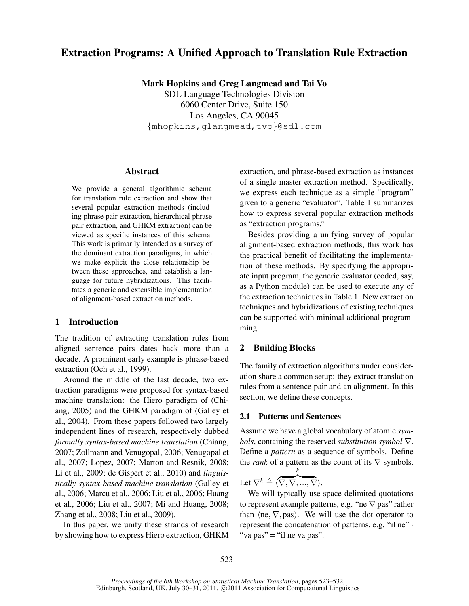# Extraction Programs: A Unified Approach to Translation Rule Extraction

Mark Hopkins and Greg Langmead and Tai Vo

SDL Language Technologies Division 6060 Center Drive, Suite 150 Los Angeles, CA 90045 {mhopkins,glangmead,tvo}@sdl.com

### Abstract

We provide a general algorithmic schema for translation rule extraction and show that several popular extraction methods (including phrase pair extraction, hierarchical phrase pair extraction, and GHKM extraction) can be viewed as specific instances of this schema. This work is primarily intended as a survey of the dominant extraction paradigms, in which we make explicit the close relationship between these approaches, and establish a language for future hybridizations. This facilitates a generic and extensible implementation of alignment-based extraction methods.

# 1 Introduction

The tradition of extracting translation rules from aligned sentence pairs dates back more than a decade. A prominent early example is phrase-based extraction (Och et al., 1999).

Around the middle of the last decade, two extraction paradigms were proposed for syntax-based machine translation: the Hiero paradigm of (Chiang, 2005) and the GHKM paradigm of (Galley et al., 2004). From these papers followed two largely independent lines of research, respectively dubbed *formally syntax-based machine translation* (Chiang, 2007; Zollmann and Venugopal, 2006; Venugopal et al., 2007; Lopez, 2007; Marton and Resnik, 2008; Li et al., 2009; de Gispert et al., 2010) and *linguistically syntax-based machine translation* (Galley et al., 2006; Marcu et al., 2006; Liu et al., 2006; Huang et al., 2006; Liu et al., 2007; Mi and Huang, 2008; Zhang et al., 2008; Liu et al., 2009).

In this paper, we unify these strands of research by showing how to express Hiero extraction, GHKM extraction, and phrase-based extraction as instances of a single master extraction method. Specifically, we express each technique as a simple "program" given to a generic "evaluator". Table 1 summarizes how to express several popular extraction methods as "extraction programs."

Besides providing a unifying survey of popular alignment-based extraction methods, this work has the practical benefit of facilitating the implementation of these methods. By specifying the appropriate input program, the generic evaluator (coded, say, as a Python module) can be used to execute any of the extraction techniques in Table 1. New extraction techniques and hybridizations of existing techniques can be supported with minimal additional programming.

# 2 Building Blocks

The family of extraction algorithms under consideration share a common setup: they extract translation rules from a sentence pair and an alignment. In this section, we define these concepts.

### 2.1 Patterns and Sentences

Assume we have a global vocabulary of atomic *symbols*, containing the reserved *substitution symbol* ∇. Define a *pattern* as a sequence of symbols. Define the *rank* of a pattern as the count of its  $\nabla$  symbols.

Let  $\nabla^k \triangleq \langle$ k  $\overline{\nabla ,\nabla ,...,\nabla }\rangle .$ 

We will typically use space-delimited quotations to represent example patterns, e.g. "ne  $\nabla$  pas" rather than  $\langle ne, \nabla, pas \rangle$ . We will use the dot operator to represent the concatenation of patterns, e.g. "il ne" · "va pas" = "il ne va pas".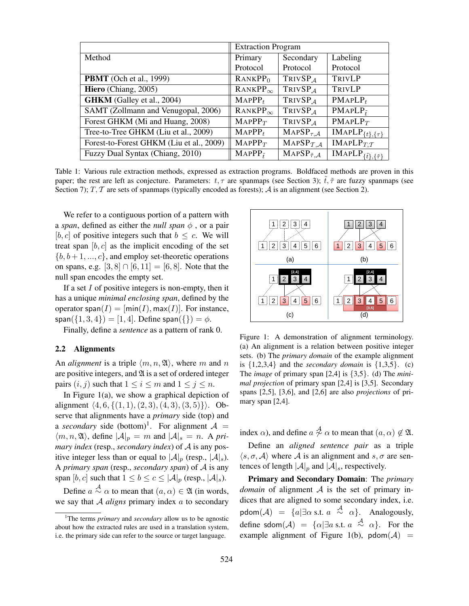|                                          | <b>Extraction Program</b>             |                                     |                                                             |
|------------------------------------------|---------------------------------------|-------------------------------------|-------------------------------------------------------------|
| Method                                   | Primary                               | Secondary                           | Labeling                                                    |
|                                          | Protocol                              | Protocol                            | Protocol                                                    |
| <b>PBMT</b> (Och et al., 1999)           | RANKPP <sub>0</sub>                   | TRIVSP <sub>A</sub>                 | TRIVLP                                                      |
| Hiero (Chiang, 2005)                     | $RANKPP_{\infty}$                     | TRIVSP <sub>A</sub>                 | TRIVLP                                                      |
| <b>GHKM</b> (Galley et al., 2004)        | MAPPP <sub>t</sub>                    | TRIVSP <sub>A</sub>                 | $PMAPLP_t$                                                  |
| SAMT (Zollmann and Venugopal, 2006)      | $RANKPP_{\infty}$                     | TRIVSP <sub>A</sub>                 | $PMAPLP\tilde{t}$                                           |
| Forest GHKM (Mi and Huang, 2008)         | $MAPPP_T$                             | TRIVSP <sub>A</sub>                 | $PMAPLP_T$                                                  |
| Tree-to-Tree GHKM (Liu et al., 2009)     | $MAPPP_t$                             | $MAPSP_{\tau,A}$                    | $\overline{\text{IMAPLP}}_{\{t\},\{\tau\}}$                 |
| Forest-to-Forest GHKM (Liu et al., 2009) | $MAPPP_T$                             | MAPSP $_{\mathcal{T},\mathcal{A}}$  | IMAPLP $_{T,T}$                                             |
| Fuzzy Dual Syntax (Chiang, 2010)         | $\overline{\text{MAPPP}}_{\tilde{t}}$ | MAPSP $_{\tilde{\tau},\mathcal{A}}$ | $\overline{\text{IMAPLP}}_{\{\tilde{t}\},\{\tilde{\tau}\}}$ |

Table 1: Various rule extraction methods, expressed as extraction programs. Boldfaced methods are proven in this paper; the rest are left as conjecture. Parameters:  $t, \tau$  are spanmaps (see Section 3);  $\tilde{t}, \tilde{\tau}$  are fuzzy spanmaps (see Section 7);  $T$ ,  $T$  are sets of spanmaps (typically encoded as forests);  $A$  is an alignment (see Section 2).

We refer to a contiguous portion of a pattern with a *span*, defined as either the *null span*  $\phi$ , or a pair [b, c] of positive integers such that  $b \leq c$ . We will treat span  $[b, c]$  as the implicit encoding of the set  ${b, b+1, ..., c}$ , and employ set-theoretic operations on spans, e.g.  $[3, 8] \cap [6, 11] = [6, 8]$ . Note that the null span encodes the empty set.

If a set  $I$  of positive integers is non-empty, then it has a unique *minimal enclosing span*, defined by the operator span( $I$ ) =  $[\min(I), \max(I)]$ . For instance, span( $\{1, 3, 4\}$ ) = [1, 4]. Define span( $\{\}$ ) =  $\phi$ .

Finally, define a *sentence* as a pattern of rank 0.

### 2.2 Alignments

An *alignment* is a triple  $\langle m, n, \mathfrak{A} \rangle$ , where m and n are positive integers, and  $\mathfrak A$  is a set of ordered integer pairs  $(i, j)$  such that  $1 \le i \le m$  and  $1 \le j \le n$ .

In Figure 1(a), we show a graphical depiction of alignment  $\langle 4, 6, \{(1, 1), (2, 3), (4, 3), (3, 5)\}\rangle$ . Observe that alignments have a *primary* side (top) and a *secondary* side (bottom)<sup>1</sup>. For alignment  $A =$  $\langle m, n, \mathfrak{A} \rangle$ , define  $|\mathcal{A}|_p = m$  and  $|\mathcal{A}|_s = n$ . A *primary index* (resp., *secondary index*) of A is any positive integer less than or equal to  $|\mathcal{A}|_p$  (resp.,  $|\mathcal{A}|_s$ ). A *primary span* (resp., *secondary span*) of A is any span [b, c] such that  $1 \leq b \leq c \leq |\mathcal{A}|_p$  (resp.,  $|\mathcal{A}|_s$ ).

Define  $a \stackrel{\mathcal{A}}{\sim} \alpha$  to mean that  $(a, \alpha) \in \mathfrak{A}$  (in words, we say that A *aligns* primary index a to secondary



Figure 1: A demonstration of alignment terminology. (a) An alignment is a relation between positive integer sets. (b) The *primary domain* of the example alignment is  $\{1,2,3,4\}$  and the *secondary domain* is  $\{1,3,5\}$ . (c) The *image* of primary span [2,4] is {3,5}. (d) The *minimal projection* of primary span [2,4] is [3,5]. Secondary spans [2,5], [3,6], and [2,6] are also *projections* of primary span [2,4].

index  $\alpha$ ), and define  $a \stackrel{A}{\sim} \alpha$  to mean that  $(a, \alpha) \not\in \mathfrak{A}$ .

Define an *aligned sentence pair* as a triple  $\langle s, \sigma, A \rangle$  where A is an alignment and s,  $\sigma$  are sentences of length  $|\mathcal{A}|_p$  and  $|\mathcal{A}|_s$ , respectively.

Primary and Secondary Domain: The *primary domain* of alignment  $A$  is the set of primary indices that are aligned to some secondary index, i.e. pdom $(\mathcal{A}) = \{a | \exists \alpha \text{ s.t. } a \stackrel{\mathcal{A}}{\sim} \alpha \}.$  Analogously, define sdom $(\mathcal{A}) = {\alpha | \exists a \text{ s.t. } a \stackrel{\mathcal{A}}{\sim} \alpha }$ . For the example alignment of Figure 1(b),  $pdom(\mathcal{A})$  =

<sup>&</sup>lt;sup>1</sup>The terms *primary* and *secondary* allow us to be agnostic about how the extracted rules are used in a translation system, i.e. the primary side can refer to the source or target language.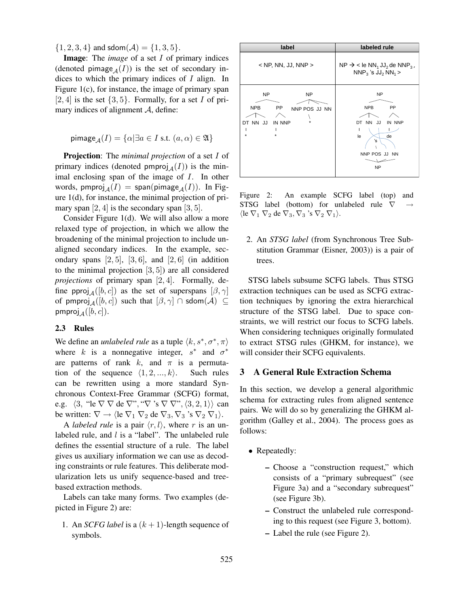$\{1, 2, 3, 4\}$  and sdom $(A) = \{1, 3, 5\}.$ 

Image: The *image* of a set I of primary indices (denoted pimage<sub>A</sub>(I)) is the set of secondary indices to which the primary indices of I align. In Figure 1(c), for instance, the image of primary span [2, 4] is the set  $\{3, 5\}$ . Formally, for a set I of primary indices of alignment  $A$ , define:

$$
\mathrm{pimage}_\mathcal{A}(I) = \{ \alpha | \exists a \in I \text{ s.t. } (a, \alpha) \in \mathfrak{A} \}
$$

Projection: The *minimal projection* of a set I of primary indices (denoted pmproj $_A(I)$ ) is the minimal enclosing span of the image of I. In other words, pmproj $_A(I)$  = span(pimage $_A(I)$ ). In Figure 1(d), for instance, the minimal projection of primary span  $[2, 4]$  is the secondary span  $[3, 5]$ .

Consider Figure 1(d). We will also allow a more relaxed type of projection, in which we allow the broadening of the minimal projection to include unaligned secondary indices. In the example, secondary spans  $[2, 5]$ ,  $[3, 6]$ , and  $[2, 6]$  (in addition to the minimal projection [3, 5]) are all considered *projections* of primary span [2, 4]. Formally, define pproj<sub>A</sub>([b, c]) as the set of superspans  $[\beta, \gamma]$ of pmproj<sub>A</sub>([b, c]) such that  $[\beta, \gamma] \cap \text{sdom}(\mathcal{A}) \subseteq$ pmproj $_A([b, c])$ .

### 2.3 Rules

We define an *unlabeled rule* as a tuple  $\langle k, s^*, \sigma^*, \pi \rangle$ where k is a nonnegative integer,  $s^*$  and  $\sigma^*$ are patterns of rank k, and  $\pi$  is a permutation of the sequence  $\langle 1, 2, ..., k \rangle$ . Such rules can be rewritten using a more standard Synchronous Context-Free Grammar (SCFG) format, e.g.  $\langle 3,$  "le  $\nabla \nabla$  de  $\nabla$ ", " $\nabla$ " s  $\nabla \nabla$ ",  $\langle 3, 2, 1 \rangle$  can be written:  $\nabla \rightarrow \langle \text{le } \nabla_1 \nabla_2 \text{ de } \nabla_3, \nabla_3 \rangle$ 's  $\nabla_2 \nabla_1 \rangle$ .

A *labeled rule* is a pair  $\langle r, l \rangle$ , where r is an unlabeled rule, and *l* is a "label". The unlabeled rule defines the essential structure of a rule. The label gives us auxiliary information we can use as decoding constraints or rule features. This deliberate modularization lets us unify sequence-based and treebased extraction methods.

Labels can take many forms. Two examples (depicted in Figure 2) are:

1. An *SCFG label* is a  $(k + 1)$ -length sequence of symbols.



Figure 2: An example SCFG label (top) and STSG label (bottom) for unlabeled rule  $\nabla$  $\langle$ le  $\nabla_1 \nabla_2$  de  $\nabla_3, \nabla_3$  's  $\nabla_2 \nabla_1$  $\rangle$ .

2. An *STSG label* (from Synchronous Tree Substitution Grammar (Eisner, 2003)) is a pair of trees.

STSG labels subsume SCFG labels. Thus STSG extraction techniques can be used as SCFG extraction techniques by ignoring the extra hierarchical structure of the STSG label. Due to space constraints, we will restrict our focus to SCFG labels. When considering techniques originally formulated to extract STSG rules (GHKM, for instance), we will consider their SCFG equivalents.

# 3 A General Rule Extraction Schema

In this section, we develop a general algorithmic schema for extracting rules from aligned sentence pairs. We will do so by generalizing the GHKM algorithm (Galley et al., 2004). The process goes as follows:

- Repeatedly:
	- Choose a "construction request," which consists of a "primary subrequest" (see Figure 3a) and a "secondary subrequest" (see Figure 3b).
	- Construct the unlabeled rule corresponding to this request (see Figure 3, bottom).
	- Label the rule (see Figure 2).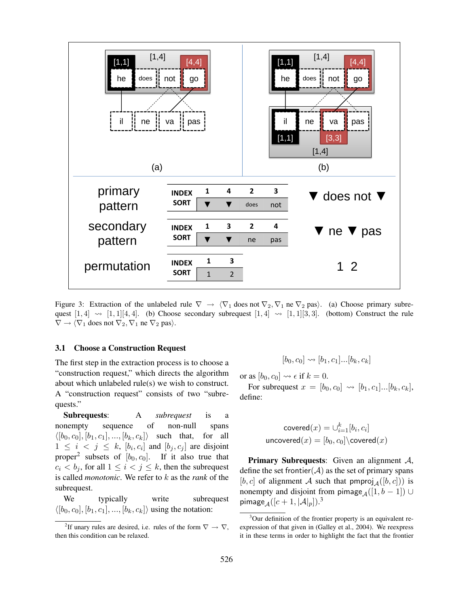

Figure 3: Extraction of the unlabeled rule  $\nabla \rightarrow \langle \nabla_1 \text{ does not } \nabla_2, \nabla_1 \text{ ne } \nabla_2 \text{ pas} \rangle$ . (a) Choose primary subrequest  $[1, 4] \rightsquigarrow [1, 1][4, 4]$ . (b) Choose secondary subrequest  $[1, 4] \rightsquigarrow [1, 1][3, 3]$ . (bottom) Construct the rule  $\nabla \rightarrow \langle \nabla_1 \text{ does not } \nabla_2, \nabla_1 \text{ ne } \nabla_2 \text{ pas} \rangle.$ 

#### 3.1 Choose a Construction Request

The first step in the extraction process is to choose a "construction request," which directs the algorithm about which unlabeled rule(s) we wish to construct. A "construction request" consists of two "subrequests."

Subrequests: A *subrequest* is a nonempty sequence of non-null spans  $\langle [b_0, c_0], [b_1, c_1], ..., [b_k, c_k] \rangle$  such that, for all  $1 \leq i \leq j \leq k$ ,  $[b_i, c_i]$  and  $[b_j, c_j]$  are disjoint proper<sup>2</sup> subsets of  $[b_0, c_0]$ . If it also true that  $c_i < b_j$ , for all  $1 \leq i < j \leq k$ , then the subrequest is called *monotonic*. We refer to k as the *rank* of the subrequest.

We typically write subrequest  $\langle [b_0, c_0], [b_1, c_1], ..., [b_k, c_k] \rangle$  using the notation:

$$
[b_0, c_0] \leadsto [b_1, c_1] \dots [b_k, c_k]
$$

or as  $[b_0, c_0] \rightsquigarrow \epsilon$  if  $k = 0$ .

For subrequest  $x = [b_0, c_0] \leadsto [b_1, c_1] \dots [b_k, c_k],$ define:

$$
\mathsf{covered}(x) = \cup_{i=1}^k [b_i, c_i]
$$
  

$$
\mathsf{uncovered}(x) = [b_0, c_0] \setminus \mathsf{covered}(x)
$$

**Primary Subrequests:** Given an alignment A, define the set frontier  $(A)$  as the set of primary spans [b, c] of alignment A such that  $\text{pmproj}_A([b, c])$  is nonempty and disjoint from pimage<sub>A</sub>([1, b – 1]) ∪ pimage ${}_{\mathcal{A}}([c+1,|\mathcal{A}|_p]).^3$ 

<sup>&</sup>lt;sup>2</sup>If unary rules are desired, i.e. rules of the form  $\nabla \rightarrow \nabla$ , then this condition can be relaxed.

<sup>&</sup>lt;sup>3</sup>Our definition of the frontier property is an equivalent reexpression of that given in (Galley et al., 2004). We reexpress it in these terms in order to highlight the fact that the frontier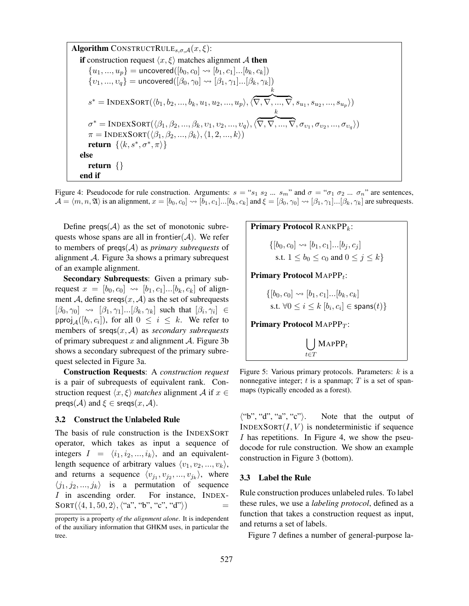Algorithm CONSTRUCT RULE<sub>s,σ,A</sub>(x, 
$$
\xi
$$
):  
\nif construction request  $\langle x, \xi \rangle$  matches alignment  $A$  then  
\n $\{u_1, ..., u_p\}$  = uncovered([b<sub>0</sub>, c<sub>0</sub>]  $\leadsto$  [b<sub>1</sub>, c<sub>1</sub>]...[b<sub>k</sub>, c<sub>k</sub>])  
\n $\{v_1, ..., v_q\}$  = uncovered([ $\beta_0, \gamma_0$ ]  $\leadsto$  [ $\beta_1, \gamma_1$ ]...[ $\beta_k, \gamma_k$ ])  
\n $s^*$  = INDEXSORT( $\langle b_1, b_2, ..., b_k, u_1, u_2, ..., u_p \rangle$ ,  $\langle \overline{\nabla}, \overline{\nabla}, ..., \overline{\nabla}, s_{u_1}, s_{u_2}, ..., s_{u_p} \rangle$ )  
\n $\sigma^*$  = INDEXSORT( $\langle \beta_1, \beta_2, ..., \beta_k, v_1, v_2, ..., v_q \rangle$ ,  $\langle \overline{\nabla}, \overline{\nabla}, ..., \overline{\nabla}, \sigma_{v_1}, \sigma_{v_2}, ..., \sigma_{v_q} \rangle$ )  
\n $\pi$  = INDEXSORT( $\langle \beta_1, \beta_2, ..., \beta_k \rangle$ ,  $\langle 1, 2, ..., k \rangle$ )  
\nreturn { $\langle \langle k, s^*, \sigma^*, \pi \rangle$ }  
\nelse  
\nreturn {}  
\nend if

Figure 4: Pseudocode for rule construction. Arguments:  $s = "s_1 s_2 ... s_m"$  and  $\sigma = "\sigma_1 \sigma_2 ... \sigma_n"$  are sentences,  $\mathcal{A} = \langle m, n, \mathfrak{A} \rangle$  is an alignment,  $x = [b_0, c_0] \leadsto [b_1, c_1] \dots [b_k, c_k]$  and  $\xi = [\beta_0, \gamma_0] \leadsto [\beta_1, \gamma_1] \dots [\beta_k, \gamma_k]$  are subrequests.

Define preqs( $A$ ) as the set of monotonic subrequests whose spans are all in frontier $(\mathcal{A})$ . We refer to members of preqs(A) as *primary subrequests* of alignment A. Figure 3a shows a primary subrequest of an example alignment.

Secondary Subrequests: Given a primary subrequest  $x = [b_0, c_0] \rightsquigarrow [b_1, c_1] \dots [b_k, c_k]$  of alignment A, define sreqs $(x, A)$  as the set of subrequests  $[\beta_0, \gamma_0] \rightsquigarrow [\beta_1, \gamma_1] \dots [\beta_k, \gamma_k]$  such that  $[\beta_i, \gamma_i] \in$ pproj $_A([b_i, c_i])$ , for all  $0 \le i \le k$ . We refer to members of sreqs(x, A) as *secondary subrequests* of primary subrequest x and alignment  $\mathcal A$ . Figure 3b shows a secondary subrequest of the primary subrequest selected in Figure 3a.

Construction Requests: A *construction request* is a pair of subrequests of equivalent rank. Construction request  $\langle x, \xi \rangle$  *matches* alignment A if  $x \in$  $\text{preqs}(\mathcal{A})$  and  $\xi \in \text{sreqs}(x, \mathcal{A})$ .

#### 3.2 Construct the Unlabeled Rule

The basis of rule construction is the INDEXSORT operator, which takes as input a sequence of integers  $I = \langle i_1, i_2, ..., i_k \rangle$ , and an equivalentlength sequence of arbitrary values  $\langle v_1, v_2, ..., v_k \rangle$ , and returns a sequence  $\langle v_{j_1}, v_{j_2}, ..., v_{j_k} \rangle$ , where  $\langle j_1, j_2, ..., j_k \rangle$  is a permutation of sequence I in ascending order. For instance, INDEX- $SORT(\langle 4, 1, 50, 2 \rangle, \langle "a", "b", "c", "d" \rangle)$ 

| <b>Primary Protocol</b> RANKPP <sub>k</sub> :                 |
|---------------------------------------------------------------|
| \n $\{[b_0, c_0] \leadsto [b_1, c_1] \dots [b_j, c_j]$ \n     |
| s.t. $1 \leq b_0 \leq c_0$ and $0 \leq j \leq k$              |
| <b>Primary Protocol</b> MAPPP <sub>t</sub> :                  |
| \n $\{[b_0, c_0] \leadsto [b_1, c_1] \dots [b_k, c_k]$ \n     |
| s.t. $\forall 0 \leq i \leq k [b_i, c_i] \in \text{spans}(t)$ |
| <b>Primary Protocol</b> MAPPP <sub>T</sub> :                  |
| \n $\bigcup_{t \in T} \text{MAPPP}_t$ \n                      |

Figure 5: Various primary protocols. Parameters:  $k$  is a nonnegative integer;  $t$  is a spanmap;  $T$  is a set of spanmaps (typically encoded as a forest).

 $\langle$ "b", "d", "a", "c" $\rangle$ . Note that the output of  $INDEXSort(I, V)$  is nondeterministic if sequence I has repetitions. In Figure 4, we show the pseudocode for rule construction. We show an example construction in Figure 3 (bottom).

#### 3.3 Label the Rule

Rule construction produces unlabeled rules. To label these rules, we use a *labeling protocol*, defined as a function that takes a construction request as input, and returns a set of labels.

Figure 7 defines a number of general-purpose la-

property is a property *of the alignment alone*. It is independent of the auxiliary information that GHKM uses, in particular the tree.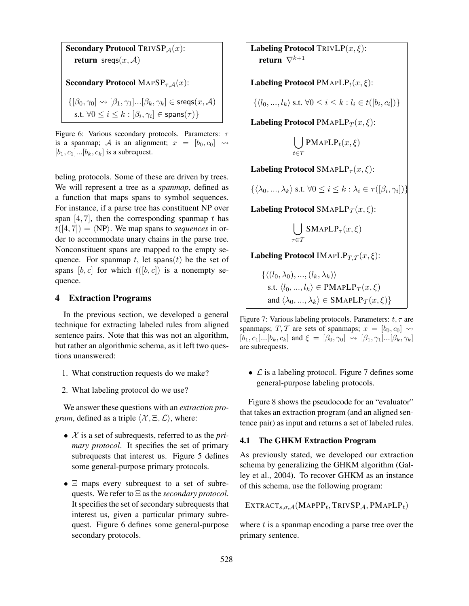Secondary Protocol TRIVSP $_A(x)$ : return sreqs $(x, A)$ Secondary Protocol MAPS $P_{\tau,A}(x)$ :  $\{[\beta_0, \gamma_0] \rightsquigarrow [\beta_1, \gamma_1] \dots [\beta_k, \gamma_k] \in \text{sregs}(x, \mathcal{A})\}$ s.t.  $\forall 0 \leq i \leq k : [\beta_i, \gamma_i] \in \mathsf{spans}(\tau)\}$ 

Figure 6: Various secondary protocols. Parameters:  $\tau$ is a spanmap; A is an alignment;  $x = [b_0, c_0] \rightsquigarrow$  $[b_1, c_1] \dots [b_k, c_k]$  is a subrequest.

beling protocols. Some of these are driven by trees. We will represent a tree as a *spanmap*, defined as a function that maps spans to symbol sequences. For instance, if a parse tree has constituent NP over span  $[4, 7]$ , then the corresponding spanmap t has  $t([4, 7]) = \langle NP \rangle$ . We map spans to *sequences* in order to accommodate unary chains in the parse tree. Nonconstituent spans are mapped to the empty sequence. For spanmap t, let spans(t) be the set of spans [b, c] for which  $t([b, c])$  is a nonempty sequence.

### 4 Extraction Programs

In the previous section, we developed a general technique for extracting labeled rules from aligned sentence pairs. Note that this was not an algorithm, but rather an algorithmic schema, as it left two questions unanswered:

- 1. What construction requests do we make?
- 2. What labeling protocol do we use?

We answer these questions with an *extraction program*, defined as a triple  $\langle X, \Xi, \mathcal{L} \rangle$ , where:

- X is a set of subrequests, referred to as the *primary protocol*. It specifies the set of primary subrequests that interest us. Figure 5 defines some general-purpose primary protocols.
- Ξ maps every subrequest to a set of subrequests. We refer to Ξ as the *secondary protocol*. It specifies the set of secondary subrequests that interest us, given a particular primary subrequest. Figure 6 defines some general-purpose secondary protocols.

Labeling Protocol TRIVLP $(x,\xi)$ : return  $\nabla^{k+1}$ 

Labeling Protocol PMAPL $P_t(x, \xi)$ :

 $\{\langle l_0, ..., l_k \rangle \text{ s.t. } \forall 0 \leq i \leq k : l_i \in t([b_i, c_i])\}$ 

Labeling Protocol PMAPLP $_T(x,\xi)$ :

$$
\bigcup_{t \in T} \text{PMAPLP}_t(x, \xi)
$$

Labeling Protocol SMAPLP<sub> $\tau$ </sub> $(x, \xi)$ :

$$
\{\langle \lambda_0, ..., \lambda_k \rangle \text{ s.t. } \forall 0 \le i \le k : \lambda_i \in \tau([\beta_i, \gamma_i])\}
$$

Labeling Protocol SMAPLP $_T(x,\xi)$ :

$$
\bigcup_{\tau \in \mathcal{T}} \text{SMAPLP}_\tau(x, \xi)
$$

Labeling Protocol IMAPL $P_{T,T}(x,\xi)$ :

 $\{((l_0, \lambda_0), ..., (l_k, \lambda_k))\}$ s.t.  $\langle l_0, ..., l_k \rangle \in \text{PMAPLP}_T(x, \xi)$ and  $\langle \lambda_0, ..., \lambda_k \rangle \in \text{SMAPLP}_{\mathcal{T}}(x, \xi)$ 

Figure 7: Various labeling protocols. Parameters:  $t, \tau$  are spanmaps; T, T are sets of spanmaps;  $x = [b_0, c_0] \rightsquigarrow$  $[b_1, c_1] \dots [b_k, c_k]$  and  $\xi = [\beta_0, \gamma_0] \rightsquigarrow [\beta_1, \gamma_1] \dots [\beta_k, \gamma_k]$ are subrequests.

•  $\mathcal L$  is a labeling protocol. Figure 7 defines some general-purpose labeling protocols.

Figure 8 shows the pseudocode for an "evaluator" that takes an extraction program (and an aligned sentence pair) as input and returns a set of labeled rules.

### 4.1 The GHKM Extraction Program

As previously stated, we developed our extraction schema by generalizing the GHKM algorithm (Galley et al., 2004). To recover GHKM as an instance of this schema, use the following program:

EXTRACT<sub>s,  $\sigma$ ,  $\mathcal{A}$  (MapPP<sub>t</sub>, TrivSP<sub>A</sub>, PMapLP<sub>t</sub>)</sub>

where  $t$  is a spanmap encoding a parse tree over the primary sentence.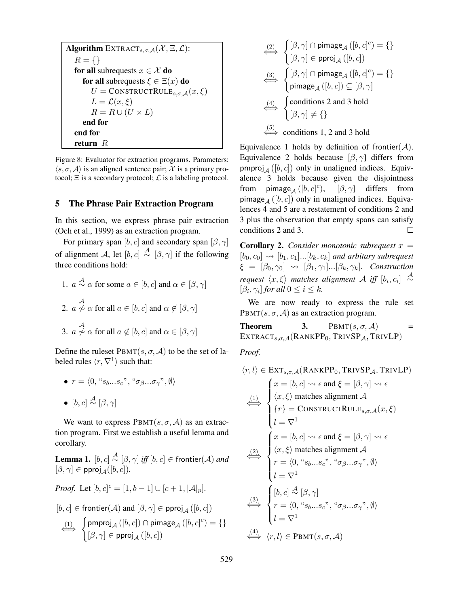**Algorithm** EXTRACT<sub>s, $\sigma$ , $\mathcal{A}(\mathcal{X}, \Xi, \mathcal{L})$ :</sub>  $R = \{\}$ for all subrequests  $x \in \mathcal{X}$  do for all subrequests  $\xi \in \Xi(x)$  do  $U = \text{CONSTRUCT RULE}_{s,\sigma,A}(x,\xi)$  $L = \mathcal{L}(x,\xi)$  $R = R \cup (U \times L)$ end for end for return R

Figure 8: Evaluator for extraction programs. Parameters:  $\langle s, \sigma, A \rangle$  is an aligned sentence pair; X is a primary protocol;  $\Xi$  is a secondary protocol;  $\mathcal L$  is a labeling protocol.

# 5 The Phrase Pair Extraction Program

In this section, we express phrase pair extraction (Och et al., 1999) as an extraction program.

For primary span [b, c] and secondary span  $[\beta, \gamma]$ of alignment A, let  $[b, c] \stackrel{A}{\sim} [\beta, \gamma]$  if the following three conditions hold:

\n- 1. 
$$
a \stackrel{\mathcal{A}}{\sim} \alpha
$$
 for some  $a \in [b, c]$  and  $\alpha \in [\beta, \gamma]$
\n- 2.  $a \not\sim \alpha$  for all  $a \in [b, c]$  and  $\alpha \not\in [\beta, \gamma]$
\n- 3.  $a \not\sim \alpha$  for all  $a \not\in [b, c]$  and  $\alpha \in [\beta, \gamma]$
\n

Define the ruleset  $\text{PBMT}(s, \sigma, \mathcal{A})$  to be the set of labeled rules  $\langle r, \nabla^1 \rangle$  such that:

\n- $$
r = \langle 0, \text{``}s_b \text{...} s_c \text{''}, \text{``} \sigma_{\beta} \text{...} \sigma_{\gamma} \text{''}, \emptyset \rangle
$$
\n- $[b, c] \stackrel{\mathcal{A}}{\sim} [\beta, \gamma]$
\n

We want to express  $\text{PBMT}(s, \sigma, \mathcal{A})$  as an extraction program. First we establish a useful lemma and corollary.

Lemma 1.  $[b, c] \stackrel{\mathcal{A}}{\sim} [\beta, \gamma]$  *iff*  $[b, c] \in$  frontier( $\mathcal{A})$  *and*  $[\beta, \gamma] \in \mathsf{pproj}_A([b, c])$ .

*Proof.* Let  $[b, c]^c = [1, b - 1] \cup [c + 1, |\mathcal{A}|_p].$ 

$$
[b, c] \in \text{frontier}(\mathcal{A}) \text{ and } [\beta, \gamma] \in \text{pproj}_{\mathcal{A}}([b, c])
$$
\n
$$
\xrightarrow{\text{(1)}} \left\{ \begin{aligned} &\text{pmproj}_{\mathcal{A}}([b, c]) \cap \text{pimage}_{\mathcal{A}}([b, c]^c) = \{ \} \\ &\left[ \beta, \gamma \right] \in \text{pproj}_{\mathcal{A}}([b, c]) \end{aligned} \right.
$$

$$
\begin{array}{c}\n\langle 2 \rangle \\
\longleftrightarrow\n\end{array}\n\left\{\n\begin{array}{c}\n[\beta, \gamma] \cap \text{pimage}_{\mathcal{A}}([b, c]^c) = \{\}\n\\
[\beta, \gamma] \in \text{proj}_{\mathcal{A}}([b, c])\n\end{array}\n\right.
$$
\n
$$
\begin{array}{c}\n\langle 3 \rangle \\
\longleftrightarrow\n\end{array}\n\left\{\n\begin{array}{c}\n[\beta, \gamma] \cap \text{pimage}_{\mathcal{A}}([b, c]^c) = \{\}\n\\
\text{pimage}_{\mathcal{A}}([b, c]) \subseteq [\beta, \gamma]\n\end{array}\n\right.
$$
\n
$$
\begin{array}{c}\n\langle 4 \rangle \\
\longleftrightarrow\n\end{array}\n\left\{\n\begin{array}{c}\n\text{conditions 2 and 3 hold} \\
[\beta, \gamma] \neq \{\}\n\end{array}\n\right.
$$
\n
$$
\begin{array}{c}\n\langle 5 \rangle \\
\longleftrightarrow\n\end{array}\n\text{conditions 1, 2 and 3 hold}\n\end{array}
$$

Equivalence 1 holds by definition of frontier $(A)$ . Equivalence 2 holds because  $[\beta, \gamma]$  differs from pmproj<sub>A</sub> ([b, c]) only in unaligned indices. Equivalence 3 holds because given the disjointness from pimage<sub>A</sub> ([b, c]<sup>c</sup>), [ $\beta$ ,  $\gamma$ ] differs from pimage<sub>A</sub> ([b, c]) only in unaligned indices. Equivalences 4 and 5 are a restatement of conditions 2 and 3 plus the observation that empty spans can satisfy conditions 2 and 3.  $\Box$ 

**Corollary 2.** *Consider monotonic subrequest*  $x =$  $[b_0, c_0] \leadsto [b_1, c_1] \dots [b_k, c_k]$  *and arbitary subrequest*  $\xi = [\beta_0, \gamma_0] \rightsquigarrow [\beta_1, \gamma_1] \dots [\beta_k, \gamma_k]$ . Construction *request*  $\langle x, \xi \rangle$  *matches alignment* A *iff*  $[b_i, c_i] \stackrel{A}{\sim}$  $[\beta_i, \gamma_i]$  *for all*  $0 \le i \le k$ *.* 

We are now ready to express the rule set PBMT(s,  $\sigma$ ,  $\mathcal{A}$ ) as an extraction program.

**Theorem 3.**  $PBMT(s, \sigma, \mathcal{A})$  =  $\text{EXTRACT}_{s,\sigma,\mathcal{A}}(\text{RANKPP}_0, \text{TRIVSP}_{\mathcal{A}}, \text{TRIVLP})$ 

*Proof.*

$$
\langle r, l \rangle \in \text{EXT}_{s,\sigma,\mathcal{A}}(\text{RANKPP}_0, \text{TRIVSP}_{\mathcal{A}}, \text{TRIVLP})
$$
\n
$$
\xrightarrow{\text{(1)}} \begin{cases}\nx = [b, c] \rightsquigarrow \epsilon \text{ and } \xi = [\beta, \gamma] \rightsquigarrow \epsilon \\
\langle x, \xi \rangle \text{ matches alignment } \mathcal{A} \\
\{r\} = \text{CONSTRUCT RULE}_{s,\sigma,\mathcal{A}}(x, \xi) \\
l = \nabla^1 \\
\xrightarrow{\text{(2)}} \begin{cases}\nx = [b, c] \rightsquigarrow \epsilon \text{ and } \xi = [\beta, \gamma] \rightsquigarrow \epsilon \\
\langle x, \xi \rangle \text{ matches alignment } \mathcal{A} \\
r = \langle 0, \text{``s}_b...s_c \text{''}, \text{``}\sigma_\beta... \sigma_\gamma \text{''}, \emptyset \rangle \\
l = \nabla^1 \\
\xrightarrow{\text{(3)}} \begin{cases}\n[b, c] \stackrel{\mathcal{A}}{\sim} [\beta, \gamma] \\
r = \langle 0, \text{``s}_b...s_c \text{''}, \text{``}\sigma_\beta... \sigma_\gamma \text{''}, \emptyset \rangle \\
l = \nabla^1 \\
\xrightarrow{\text{(4)}} \langle r, l \rangle \in \text{PBMT}(s, \sigma, \mathcal{A})\n\end{cases}\n\end{cases}
$$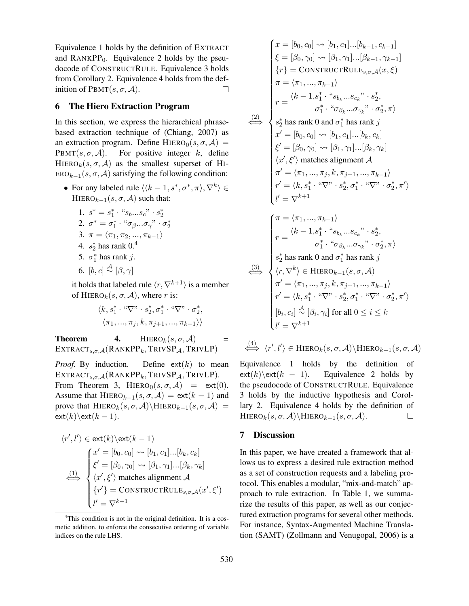Equivalence 1 holds by the definition of EXTRACT and  $RANKPP_0$ . Equivalence 2 holds by the pseudocode of CONSTRUCTRULE. Equivalence 3 holds from Corollary 2. Equivalence 4 holds from the definition of  $\text{PBMT}(s, \sigma, \mathcal{A}).$  $\Box$ 

### 6 The Hiero Extraction Program

In this section, we express the hierarchical phrasebased extraction technique of (Chiang, 2007) as an extraction program. Define HIERO $_0(s, \sigma, \mathcal{A})$  = PBMT(s,  $\sigma$ ,  $\mathcal{A}$ ). For positive integer k, define HIERO<sub>k</sub> $(s, \sigma, \mathcal{A})$  as the smallest superset of HI- $ERO_{k-1}(s, \sigma, \mathcal{A})$  satisfying the following condition:

- For any labeled rule  $\langle (k-1, s^*, \sigma^*, \pi), \nabla^k \rangle \in$ HIERO $_{k-1}(s, \sigma, \mathcal{A})$  such that:
	- 1.  $s^* = s_1^* \cdot "s_b...s_c" \cdot s_2^*$ 2.  $\sigma^* = \sigma_1^* \cdot \text{``}\sigma_{\beta}...\sigma_{\gamma}^* \cdot \sigma_2^*$ 3.  $\pi = \langle \pi_1, \pi_2, ..., \pi_{k-1} \rangle$
	- 4.  $s_2^*$  has rank 0.<sup>4</sup>
	- 5.  $\sigma_1^*$  has rank j.
	- 6.  $[b, c] \stackrel{\mathcal{A}}{\sim} [\beta, \gamma]$

it holds that labeled rule  $\langle r, \nabla^{k+1} \rangle$  is a member of HIERO<sub>k</sub> $(s, \sigma, \mathcal{A})$ , where r is:

$$
\frac{\langle k, s_1^* \cdot \text{``}\nabla \text{''} \cdot s_2^*, \sigma_1^* \cdot \text{``}\nabla \text{''} \cdot \sigma_2^*,}{\langle \pi_1, ..., \pi_j, k, \pi_{j+1}, ..., \pi_{k-1} \rangle \rangle}
$$

**Theorem** 4. **HIERO**<sub>k</sub> $(s, \sigma, \mathcal{A})$  $\text{EXTRACT}_{s,\sigma,\mathcal{A}}(\text{RANKPP}_k,\text{TRIVSP}_{\mathcal{A}},\text{TRIVLP})$ 

*Proof.* By induction. Define  $ext(k)$  to mean  $EXTRACT_{s,\sigma,\mathcal{A}}(RANKPP_k, TRIVSP_{\mathcal{A}}, TRIVLP).$ From Theorem 3, HIERO $_0(s, \sigma, \mathcal{A})$  = ext(0). Assume that HIERO $_{k-1}(s, \sigma, \mathcal{A}) = \text{ext}(k-1)$  and prove that  $HIERO<sub>k</sub>(s, \sigma, \mathcal{A})\ HIERO<sub>k-1</sub>(s, \sigma, \mathcal{A})$  =  $ext(k)\text{ext}(k - 1).$ 

$$
\langle r', l' \rangle \in \text{ext}(k) \setminus \text{ext}(k-1)
$$
\n
$$
\begin{cases}\nx' = [b_0, c_0] \rightsquigarrow [b_1, c_1] \dots [b_k, c_k] \\
\xi' = [\beta_0, \gamma_0] \rightsquigarrow [\beta_1, \gamma_1] \dots [\beta_k, \gamma_k] \\
\xleftarrow{\langle 1 \rangle} \langle x', \xi' \rangle \text{ matches alignment } A \\
\{r'\} = \text{CONSTRUCT RULE}_{s, \sigma, \mathcal{A}}(x', \xi') \\
l' = \nabla^{k+1}\n\end{cases}
$$

$$
\begin{cases}\nx = [b_0, c_0] \rightsquigarrow [b_1, c_1] \dots [b_{k-1}, c_{k-1}] \\
\xi = [\beta_0, \gamma_0] \rightsquigarrow [\beta_1, \gamma_1] \dots [\beta_{k-1}, \gamma_{k-1}] \\
\{r\} = \text{CONSTRUCT RULE}_{s, \sigma, \mathcal{A}}(x, \xi) \\
\pi = \langle \pi_1, \dots, \pi_{k-1} \rangle \\
r = \frac{\langle k-1, s_1^* \cdot "s_{b_k} \dots s_{c_k} \cdot s_2^*,}{\sigma_1^* \cdot "s_{\beta_k} \dots \sigma_{\gamma_k} \cdot \sigma_2^*, \pi \rangle} \\
\xrightarrow{\xi'} \text{has rank 0 and } \sigma_1^* \text{ has rank } j \\
x' = [b_0, c_0] \rightsquigarrow [b_1, c_1] \dots [b_k, c_k] \\
\xi' = [\beta_0, \gamma_0] \rightsquigarrow [\beta_1, \gamma_1] \dots [\beta_k, \gamma_k] \\
\langle x', \xi' \rangle \text{ matches alignment } \mathcal{A} \\
\pi' = \langle \pi_1, \dots, \pi_j, k, \pi_{j+1}, \dots, \pi_{k-1} \rangle \\
r' = \langle k, s_1^* \cdot " \nabla \cdot s_2^*, \sigma_1^* \cdot " \nabla \cdot \sigma_2^*, \pi' \rangle \\
l' = \nabla^{k+1} \\
\pi = \langle \pi_1, \dots, \pi_{k-1} \rangle \\
r = \frac{\langle k-1, s_1^* \cdot "s_{b_k} \dots s_{c_k} \cdot s_2^*,}{\sigma_1^* \cdot "s_{\beta_k} \dots \sigma_{\gamma_k} \cdot \sigma_2^*, \pi \rangle} \\
s_2^* \text{ has rank 0 and } \sigma_1^* \text{ has rank } j \\
\langle r, \nabla^k \rangle \in \text{HIERO}_{k-1}(s, \sigma, \mathcal{A}) \\
\pi' = \langle \pi_1, \dots, \pi_j, k, \pi_{j+1}, \dots, \pi_{k-1} \rangle \\
r' = \langle k, s_1^* \cdot " \nabla \cdot s_2^*, \sigma_1^* \cdot " \nabla \cdot \sigma_2^*, \pi' \rangle \\
[b_i, c_i] \stackrel{\mathcal{A}}{\sim} [\beta_i, \gamma_i] \text{ for all } 0 \le i \le k \\
l' = \nabla^{
$$

$$
\stackrel{(4)}{\iff}\langle r',l'\rangle\in\text{HIERO}_k(s,\sigma,\mathcal{A})\backslash\text{HIERO}_{k-1}(s,\sigma,\mathcal{A})
$$

Equivalence 1 holds by the definition of  $ext(k)\text{ext}(k - 1)$ . Equivalence 2 holds by the pseudocode of CONSTRUCTRULE. Equivalence 3 holds by the inductive hypothesis and Corollary 2. Equivalence 4 holds by the definition of  $HIERO<sub>k</sub>(s, \sigma, \mathcal{A})\$ HIERO<sub>k−1</sub>(s,  $\sigma, \mathcal{A}$ ).  $\Box$ 

# 7 Discussion

In this paper, we have created a framework that allows us to express a desired rule extraction method as a set of construction requests and a labeling protocol. This enables a modular, "mix-and-match" approach to rule extraction. In Table 1, we summarize the results of this paper, as well as our conjectured extraction programs for several other methods. For instance, Syntax-Augmented Machine Translation (SAMT) (Zollmann and Venugopal, 2006) is a

<sup>&</sup>lt;sup>4</sup>This condition is not in the original definition. It is a cosmetic addition, to enforce the consecutive ordering of variable indices on the rule LHS.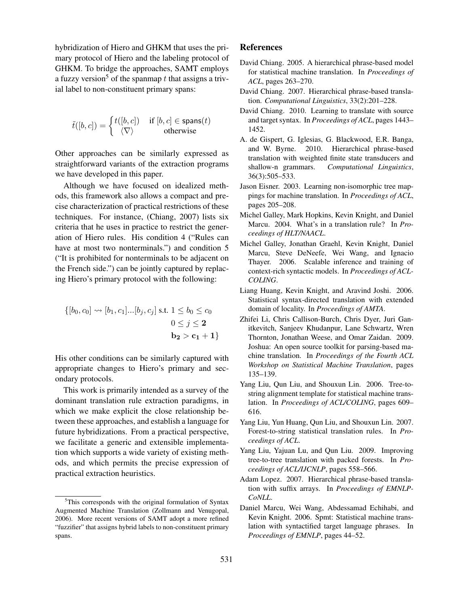hybridization of Hiero and GHKM that uses the primary protocol of Hiero and the labeling protocol of GHKM. To bridge the approaches, SAMT employs a fuzzy version<sup>5</sup> of the spanmap t that assigns a trivial label to non-constituent primary spans:

$$
\tilde{t}([b, c]) = \begin{cases} t([b, c]) & \text{if } [b, c] \in \text{spans}(t) \\ \langle \nabla \rangle & \text{otherwise} \end{cases}
$$

Other approaches can be similarly expressed as straightforward variants of the extraction programs we have developed in this paper.

Although we have focused on idealized methods, this framework also allows a compact and precise characterization of practical restrictions of these techniques. For instance, (Chiang, 2007) lists six criteria that he uses in practice to restrict the generation of Hiero rules. His condition 4 ("Rules can have at most two nonterminals.") and condition 5 ("It is prohibited for nonterminals to be adjacent on the French side.") can be jointly captured by replacing Hiero's primary protocol with the following:

$$
\{[b_0, c_0] \leadsto [b_1, c_1] \dots [b_j, c_j] \text{ s.t. } 1 \le b_0 \le c_0
$$
  
 
$$
0 \le j \le \mathbf{2}
$$
  
 
$$
\mathbf{b_2} > \mathbf{c_1} + \mathbf{1}\}
$$

His other conditions can be similarly captured with appropriate changes to Hiero's primary and secondary protocols.

This work is primarily intended as a survey of the dominant translation rule extraction paradigms, in which we make explicit the close relationship between these approaches, and establish a language for future hybridizations. From a practical perspective, we facilitate a generic and extensible implementation which supports a wide variety of existing methods, and which permits the precise expression of practical extraction heuristics.

# References

- David Chiang. 2005. A hierarchical phrase-based model for statistical machine translation. In *Proceedings of ACL*, pages 263–270.
- David Chiang. 2007. Hierarchical phrase-based translation. *Computational Linguistics*, 33(2):201–228.
- David Chiang. 2010. Learning to translate with source and target syntax. In *Proceedings of ACL*, pages 1443– 1452.
- A. de Gispert, G. Iglesias, G. Blackwood, E.R. Banga, and W. Byrne. 2010. Hierarchical phrase-based translation with weighted finite state transducers and shallow-n grammars. *Computational Linguistics*, 36(3):505–533.
- Jason Eisner. 2003. Learning non-isomorphic tree mappings for machine translation. In *Proceedings of ACL*, pages 205–208.
- Michel Galley, Mark Hopkins, Kevin Knight, and Daniel Marcu. 2004. What's in a translation rule? In *Proceedings of HLT/NAACL*.
- Michel Galley, Jonathan Graehl, Kevin Knight, Daniel Marcu, Steve DeNeefe, Wei Wang, and Ignacio Thayer. 2006. Scalable inference and training of context-rich syntactic models. In *Proceedings of ACL-COLING*.
- Liang Huang, Kevin Knight, and Aravind Joshi. 2006. Statistical syntax-directed translation with extended domain of locality. In *Proceedings of AMTA*.
- Zhifei Li, Chris Callison-Burch, Chris Dyer, Juri Ganitkevitch, Sanjeev Khudanpur, Lane Schwartz, Wren Thornton, Jonathan Weese, and Omar Zaidan. 2009. Joshua: An open source toolkit for parsing-based machine translation. In *Proceedings of the Fourth ACL Workshop on Statistical Machine Translation*, pages 135–139.
- Yang Liu, Qun Liu, and Shouxun Lin. 2006. Tree-tostring alignment template for statistical machine translation. In *Proceedings of ACL/COLING*, pages 609– 616.
- Yang Liu, Yun Huang, Qun Liu, and Shouxun Lin. 2007. Forest-to-string statistical translation rules. In *Proceedings of ACL*.
- Yang Liu, Yajuan Lu, and Qun Liu. 2009. Improving tree-to-tree translation with packed forests. In *Proceedings of ACL/IJCNLP*, pages 558–566.
- Adam Lopez. 2007. Hierarchical phrase-based translation with suffix arrays. In *Proceedings of EMNLP-CoNLL*.
- Daniel Marcu, Wei Wang, Abdessamad Echihabi, and Kevin Knight. 2006. Spmt: Statistical machine translation with syntactified target language phrases. In *Proceedings of EMNLP*, pages 44–52.

<sup>5</sup>This corresponds with the original formulation of Syntax Augmented Machine Translation (Zollmann and Venugopal, 2006). More recent versions of SAMT adopt a more refined "fuzzifier" that assigns hybrid labels to non-constituent primary spans.